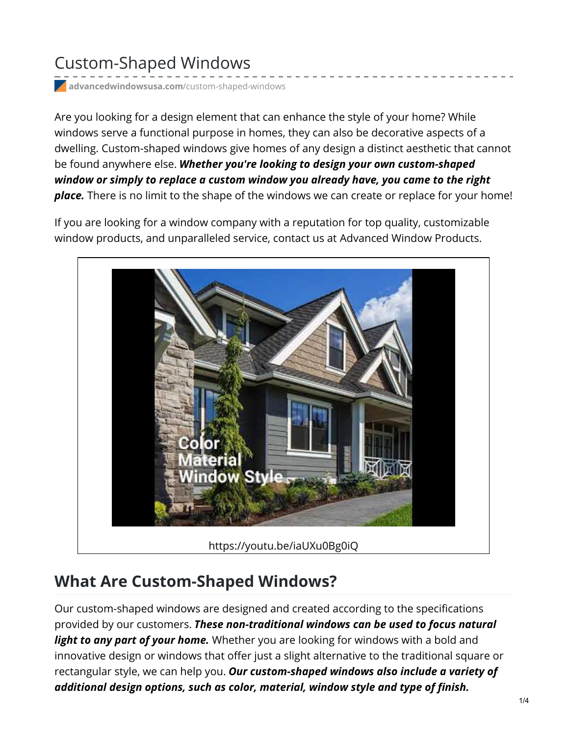## Custom-Shaped Windows

**[advancedwindowsusa.com](https://advancedwindowsusa.com/custom-shaped-windows)**/custom-shaped-windows

Are you looking for a design element that can enhance the style of your home? While windows serve a functional purpose in homes, they can also be decorative aspects of a dwelling. [Custom-shaped](https://advancedwindowsusa.com/custom-made-replacement-windows) windows give homes of any design a distinct aesthetic that cannot be found anywhere else. *Whether you're looking to design your own custom-shaped window or simply to replace a custom window you already have, you came to the right place.* There is no limit to the shape of the windows we can create or replace for your home!

If you are looking for a window company with a reputation for top quality, customizable window products, and unparalleled service, contact us at [Advanced](https://advancedwindowsusa.com/) Window Products.



## **What Are Custom-Shaped Windows?**

Our custom-shaped windows are designed and created according to the specifications provided by our customers. *These non-traditional windows can be used to focus natural light to any part of your home.* Whether you are looking for windows with a bold and innovative design or windows that offer just a slight alternative to the traditional square or rectangular style, we can help you. *Our custom-shaped windows also include a variety of additional design options, such as color, material, window style and type of finish.*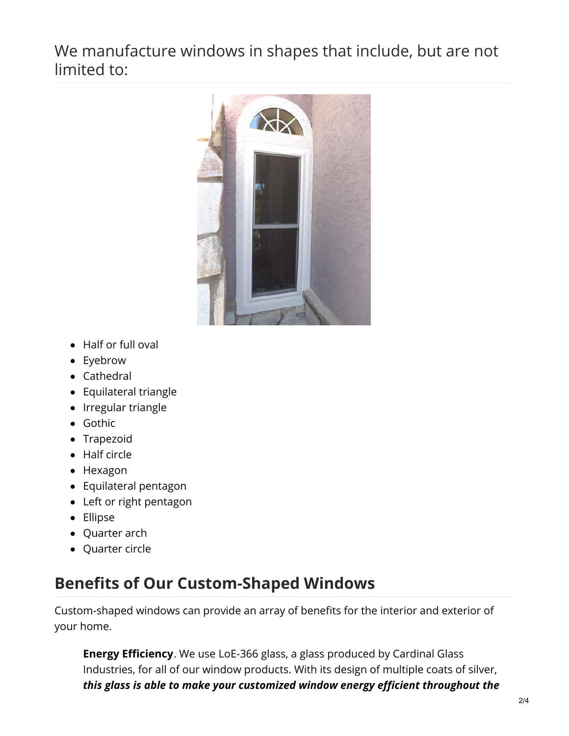We manufacture windows in shapes that include, but are not limited to:



- Half or full oval
- Eyebrow
- Cathedral
- Equilateral triangle
- Irregular triangle
- Gothic
- Trapezoid
- Half circle
- Hexagon
- Equilateral pentagon
- Left or right pentagon
- Ellipse
- Quarter arch
- Quarter circle

## **Benefits of Our Custom-Shaped Windows**

Custom-shaped windows can provide an array of benefits for the interior and exterior of your home.

**Energy Efficiency**. We use [LoE-366](https://advancedwindowsusa.com/energy-efficient-glass) glass, a glass produced by Cardinal Glass Industries, for all of our window products. With its design of multiple coats of silver, *this glass is able to make your customized window energy efficient throughout the*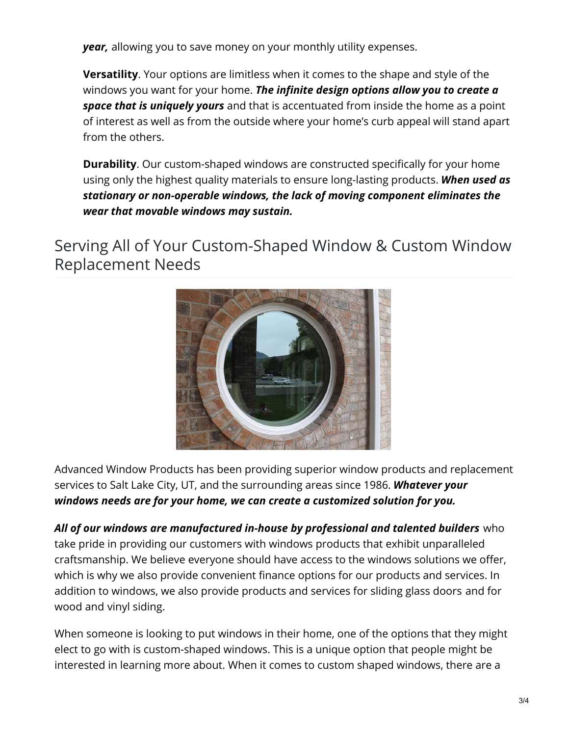*year,* allowing you to save money on your monthly utility expenses.

**Versatility**. Your options are limitless when it comes to the shape and style of the windows you want for your home. *The infinite design options allow you to create a space that is uniquely yours* and that is accentuated from inside the home as a point of interest as well as from the outside where your home's curb appeal will stand apart from the others.

**Durability**. Our custom-shaped windows are constructed specifically for your home using only the highest quality materials to ensure long-lasting products. *When used as stationary or non-operable windows, the lack of moving component eliminates the wear that movable windows may sustain.*

Serving All of Your Custom-Shaped Window & Custom Window Replacement Needs



Advanced Window Products has been providing superior window products and replacement services to Salt Lake City, UT, and the surrounding areas since 1986. *Whatever your windows needs are for your home, we can create a customized solution for you.*

*All of our windows are manufactured in-house by professional and talented builders* who take pride in providing our customers with windows products that exhibit unparalleled craftsmanship. We believe everyone should have access to the windows solutions we offer, which is why we also provide [convenient](https://advancedwindowsusa.com/home-improvement-financing) finance options for our products and services. In addition to windows, we also provide products and services for [sliding](https://advancedwindowsusa.com/doors) glass doors and for [wood](https://advancedwindowsusa.com/why-choose-us/wood-siding-utah) and vinyl [siding](https://advancedwindowsusa.com/vinyl-siding).

When someone is looking to put windows in their home, one of the options that they might elect to go with is custom-shaped windows. This is a unique option that people might be interested in learning more about. When it comes to custom shaped windows, there are a